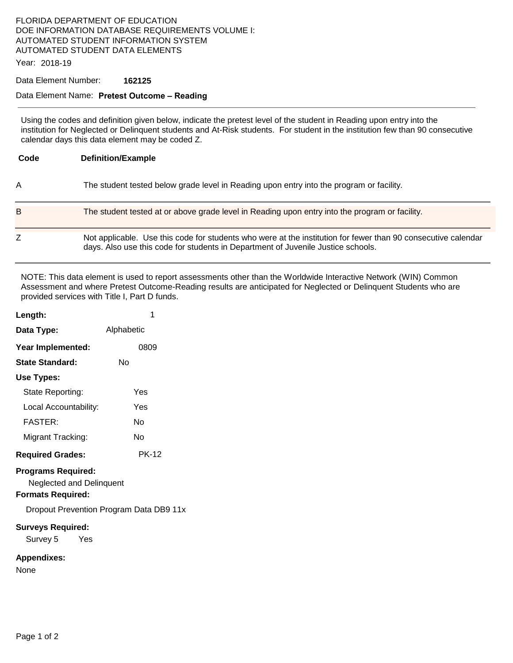# FLORIDA DEPARTMENT OF EDUCATION DOE INFORMATION DATABASE REQUIREMENTS VOLUME I: AUTOMATED STUDENT INFORMATION SYSTEM AUTOMATED STUDENT DATA ELEMENTS

Year: 2018-19

#### Data Element Number: **162125**

### Data Element Name: **Pretest Outcome – Reading**

Using the codes and definition given below, indicate the pretest level of the student in Reading upon entry into the institution for Neglected or Delinquent students and At-Risk students. For student in the institution few than 90 consecutive calendar days this data element may be coded Z.

| Code | <b>Definition/Example</b>                                                                                                                                                                         |  |
|------|---------------------------------------------------------------------------------------------------------------------------------------------------------------------------------------------------|--|
| A    | The student tested below grade level in Reading upon entry into the program or facility.                                                                                                          |  |
| B    | The student tested at or above grade level in Reading upon entry into the program or facility.                                                                                                    |  |
|      | Not applicable. Use this code for students who were at the institution for fewer than 90 consecutive calendar<br>days. Also use this code for students in Department of Juvenile Justice schools. |  |

NOTE: This data element is used to report assessments other than the Worldwide Interactive Network (WIN) Common Assessment and where Pretest Outcome-Reading results are anticipated for Neglected or Delinquent Students who are provided services with Title I, Part D funds.

| Length:                                                                                                                             | 1            |  |  |
|-------------------------------------------------------------------------------------------------------------------------------------|--------------|--|--|
| Data Type:                                                                                                                          | Alphabetic   |  |  |
| Year Implemented:                                                                                                                   | 0809         |  |  |
| <b>State Standard:</b>                                                                                                              | N٥           |  |  |
| Use Types:                                                                                                                          |              |  |  |
| State Reporting:                                                                                                                    | Yes          |  |  |
| Local Accountability:                                                                                                               | Yes          |  |  |
| <b>FASTER:</b>                                                                                                                      | N٥           |  |  |
| Migrant Tracking:                                                                                                                   | N٥           |  |  |
| <b>Required Grades:</b>                                                                                                             | <b>PK-12</b> |  |  |
| <b>Programs Required:</b><br><b>Neglected and Delinquent</b><br><b>Formats Required:</b><br>Dropout Prevention Program Data DB9 11x |              |  |  |
| <b>Surveys Required:</b><br>Survey 5 Yes                                                                                            |              |  |  |
| <b>Appendixes:</b>                                                                                                                  |              |  |  |

None